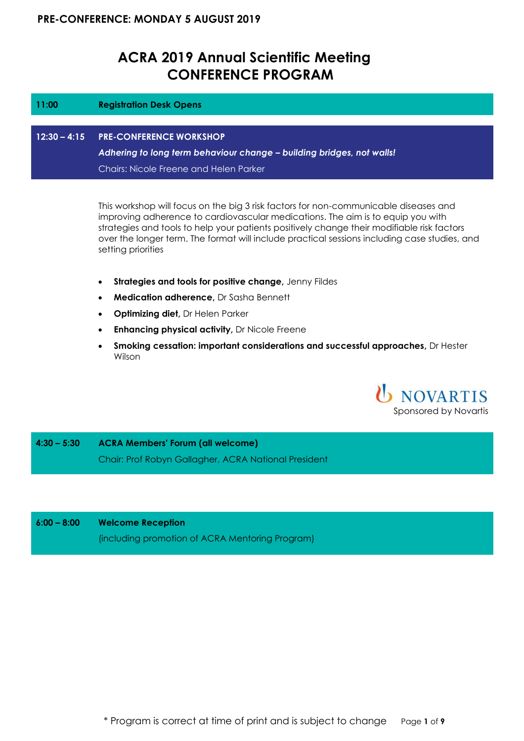## **ACRA 2019 Annual Scientific Meeting CONFERENCE PROGRAM**

| 11:00 | <b>Registration Desk Opens</b>                                        |
|-------|-----------------------------------------------------------------------|
|       |                                                                       |
|       | 12:30 - 4:15 PRE-CONFERENCE WORKSHOP                                  |
|       | Adhering to long term behaviour change - building bridges, not walls! |
|       | Chairs: Nicole Freene and Helen Parker                                |
|       |                                                                       |

This workshop will focus on the big 3 risk factors for non-communicable diseases and improving adherence to cardiovascular medications. The aim is to equip you with strategies and tools to help your patients positively change their modifiable risk factors over the longer term. The format will include practical sessions including case studies, and setting priorities

- **Strategies and tools for positive change,** Jenny Fildes
- **Medication adherence,** Dr Sasha Bennett
- **Optimizing diet,** Dr Helen Parker
- **Enhancing physical activity,** Dr Nicole Freene
- **Smoking cessation: important considerations and successful approaches,** Dr Hester Wilson

**U** NOVARTIS Sponsored by Novartis

**4:30 – 5:30 ACRA Members' Forum (all welcome)**  Chair: Prof Robyn Gallagher, ACRA National President

#### **6:00 – 8:00 Welcome Reception**

(including promotion of ACRA Mentoring Program)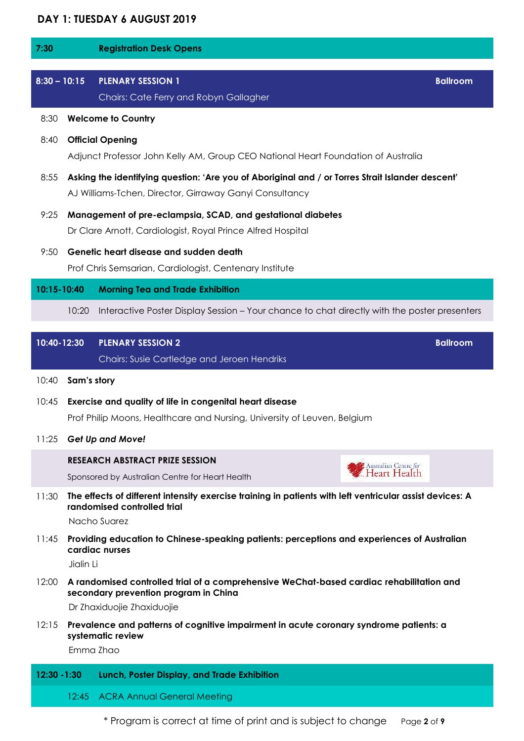## **DAY 1: TUESDAY 6 AUGUST 2019**

| 7:30           |             | <b>Registration Desk Opens</b>                                                                                                                                  |  |
|----------------|-------------|-----------------------------------------------------------------------------------------------------------------------------------------------------------------|--|
| $8:30 - 10:15$ |             | <b>PLENARY SESSION 1</b><br><b>Ballroom</b><br>Chairs: Cate Ferry and Robyn Gallagher                                                                           |  |
| 8:30           |             | <b>Welcome to Country</b>                                                                                                                                       |  |
| 8:40           |             | <b>Official Opening</b><br>Adjunct Professor John Kelly AM, Group CEO National Heart Foundation of Australia                                                    |  |
| 8:55           |             | Asking the identifying question: 'Are you of Aboriginal and / or Torres Strait Islander descent'<br>AJ Williams-Tchen, Director, Girraway Ganyi Consultancy     |  |
| 9:25           |             | Management of pre-eclampsia, SCAD, and gestational diabetes<br>Dr Clare Arnott, Cardiologist, Royal Prince Alfred Hospital                                      |  |
| 9:50           |             | Genetic heart disease and sudden death<br>Prof Chris Semsarian, Cardiologist, Centenary Institute                                                               |  |
| 10:15-10:40    |             | <b>Morning Tea and Trade Exhibition</b>                                                                                                                         |  |
|                | 10:20       | Interactive Poster Display Session – Your chance to chat directly with the poster presenters                                                                    |  |
| 10:40-12:30    |             | <b>Ballroom</b><br><b>PLENARY SESSION 2</b><br>Chairs: Susie Cartledge and Jeroen Hendriks                                                                      |  |
| 10:40          | Sam's story |                                                                                                                                                                 |  |
| 10:45          |             | Exercise and quality of life in congenital heart disease<br>Prof Philip Moons, Healthcare and Nursing, University of Leuven, Belgium                            |  |
| 11:25          |             | Get Up and Move!                                                                                                                                                |  |
|                |             | <b>RESEARCH ABSTRACT PRIZE SESSION</b><br>Australian Centre for<br>Heart Health<br>Sponsored by Australian Centre for Heart Health                              |  |
| 11:30          |             | The effects of different intensity exercise training in patients with left ventricular assist devices: A<br>randomised controlled trial<br>Nacho Suarez         |  |
| 11:45          | Jialin Li   | Providing education to Chinese-speaking patients: perceptions and experiences of Australian<br>cardiac nurses                                                   |  |
| 12:00          |             | A randomised controlled trial of a comprehensive WeChat-based cardiac rehabilitation and<br>secondary prevention program in China<br>Dr Zhaxiduojie Zhaxiduojie |  |
| 12:15          |             | Prevalence and patterns of cognitive impairment in acute coronary syndrome patients: a<br>systematic review<br>Emma Zhao                                        |  |
| 12:30 - 1:30   |             | Lunch, Poster Display, and Trade Exhibition                                                                                                                     |  |

\* Program is correct at time of print and is subject to change Page **2** of **9**

12:45 ACRA Annual General Meeting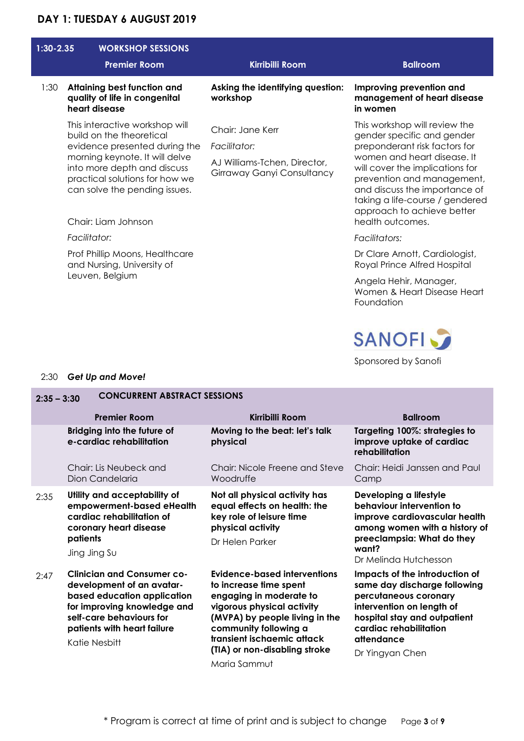## **DAY 1: TUESDAY 6 AUGUST 2019**

| $1:30 - 2.35$ | <b>WORKSHOP SESSIONS</b><br><b>Premier Room</b>                                                                                                                                                                                                        | <b>Kirribilli Room</b>                                                                         | <b>Ballroom</b>                                                                                                                                                                                                                                                                                                    |
|---------------|--------------------------------------------------------------------------------------------------------------------------------------------------------------------------------------------------------------------------------------------------------|------------------------------------------------------------------------------------------------|--------------------------------------------------------------------------------------------------------------------------------------------------------------------------------------------------------------------------------------------------------------------------------------------------------------------|
| 1:30          | Attaining best function and<br>quality of life in congenital<br>heart disease                                                                                                                                                                          | Asking the identifying question:<br>workshop                                                   | Improving prevention and<br>management of heart disease<br>in women                                                                                                                                                                                                                                                |
|               | This interactive workshop will<br>build on the theoretical<br>evidence presented during the<br>morning keynote. It will delve<br>into more depth and discuss<br>practical solutions for how we<br>can solve the pending issues.<br>Chair: Liam Johnson | Chair: Jane Kerr<br>Facilitator:<br>AJ Williams-Tchen, Director,<br>Girraway Ganyi Consultancy | This workshop will review the<br>gender specific and gender<br>preponderant risk factors for<br>women and heart disease. It<br>will cover the implications for<br>prevention and management,<br>and discuss the importance of<br>taking a life-course / gendered<br>approach to achieve better<br>health outcomes. |
|               | Facilitator:<br>Prof Phillip Moons, Healthcare<br>and Nursing, University of<br>Leuven, Belgium                                                                                                                                                        |                                                                                                | Facilitators:<br>Dr Clare Arnott, Cardiologist,<br>Royal Prince Alfred Hospital<br>Angela Hehir, Manager,<br>Women & Heart Disease Heart<br>Foundation<br><b>SANOFI</b><br>Sponsored by Sanofi                                                                                                                     |

## 2:30 *Get Up and Move!*

| <b>CONCURRENT ABSTRACT SESSIONS</b><br>$2:35 - 3:30$ |                                                                                                                                                                                                          |                                                                                                                                                                                                                                                           |                                                                                                                                                                                                                 |  |
|------------------------------------------------------|----------------------------------------------------------------------------------------------------------------------------------------------------------------------------------------------------------|-----------------------------------------------------------------------------------------------------------------------------------------------------------------------------------------------------------------------------------------------------------|-----------------------------------------------------------------------------------------------------------------------------------------------------------------------------------------------------------------|--|
|                                                      | <b>Premier Room</b>                                                                                                                                                                                      | Kirribilli Room                                                                                                                                                                                                                                           | <b>Ballroom</b>                                                                                                                                                                                                 |  |
|                                                      | Bridging into the future of<br>e-cardiac rehabilitation                                                                                                                                                  | Moving to the beat: let's talk<br>physical                                                                                                                                                                                                                | Targeting 100%: strategies to<br>improve uptake of cardiac<br>rehabilitation                                                                                                                                    |  |
|                                                      | Chair: Lis Neubeck and<br>Dion Candelaria                                                                                                                                                                | Chair: Nicole Freene and Steve<br>Woodruffe                                                                                                                                                                                                               | Chair: Heidi Janssen and Paul<br>Camp                                                                                                                                                                           |  |
| 2:35                                                 | Utility and acceptability of<br>empowerment-based eHealth<br>cardiac rehabilitation of<br>coronary heart disease<br>patients<br>Jing Jing Su                                                             | Not all physical activity has<br>equal effects on health: the<br>key role of leisure time<br>physical activity<br>Dr Helen Parker                                                                                                                         | Developing a lifestyle<br>behaviour intervention to<br>improve cardiovascular health<br>among women with a history of<br>preeclampsia: What do they<br>want?<br>Dr Melinda Hutchesson                           |  |
| 2:47                                                 | <b>Clinician and Consumer co-</b><br>development of an avatar-<br>based education application<br>for improving knowledge and<br>self-care behaviours for<br>patients with heart failure<br>Katie Nesbitt | Evidence-based interventions<br>to increase time spent<br>engaging in moderate to<br>vigorous physical activity<br>(MVPA) by people living in the<br>community following a<br>transient ischaemic attack<br>(TIA) or non-disabling stroke<br>Maria Sammut | Impacts of the introduction of<br>same day discharge following<br>percutaneous coronary<br>intervention on length of<br>hospital stay and outpatient<br>cardiac rehabilitation<br>attendance<br>Dr Yingyan Chen |  |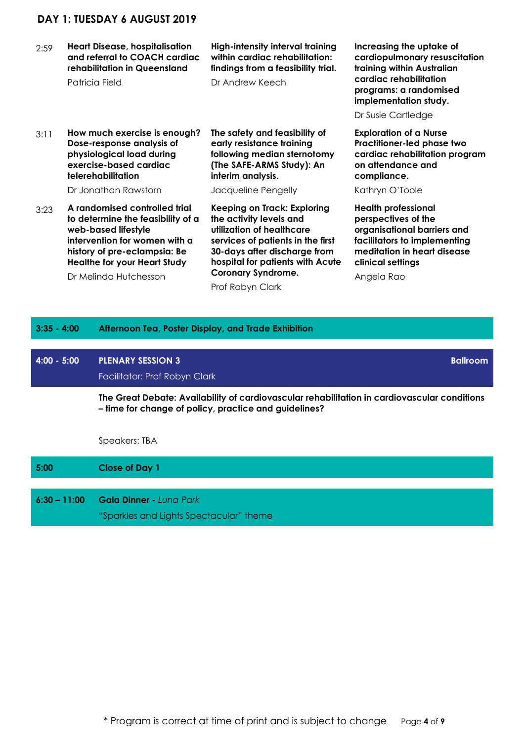## **DAY 1: TUESDAY 6 AUGUST 2019**

2:59 **Heart Disease, hospitalisation and referral to COACH cardiac rehabilitation in Queensland** 

Patricia Field

#### **High-intensity interval training within cardiac rehabilitation: findings from a feasibility trial.**

Dr Andrew Keech

3:11 **How much exercise is enough? Dose-response analysis of physiological load during exercise-based cardiac telerehabilitation** 

Dr Jonathan Rawstorn

3:23 **A randomised controlled trial to determine the feasibility of a web-based lifestyle intervention for women with a history of pre-eclampsia: Be Healthe for your Heart Study** 

**The safety and feasibility of early resistance training following median sternotomy (The SAFE-ARMS Study): An interim analysis.** 

Jacqueline Pengelly

Prof Robyn Clark

**Keeping on Track: Exploring the activity levels and utilization of healthcare services of patients in the first 30-days after discharge from hospital for patients with Acute Coronary Syndrome.** 

**Increasing the uptake of cardiopulmonary resuscitation training within Australian cardiac rehabilitation programs: a randomised implementation study.** 

Dr Susie Cartledge

**Exploration of a Nurse Practitioner-led phase two cardiac rehabilitation program on attendance and compliance.** 

Kathryn O'Toole

**Health professional perspectives of the organisational barriers and facilitators to implementing meditation in heart disease clinical settings** 

Angela Rao

| Dr Melinda Hutchesson |
|-----------------------|
|                       |

## **3:35 - 4:00 Afternoon Tea, Poster Display, and Trade Exhibition**

# **4:00 - 5:00 PLENARY SESSION 3** Facilitator: Prof Robyn Clark **Ballroom The Great Debate: Availability of cardiovascular rehabilitation in cardiovascular conditions – time for change of policy, practice and guidelines?**

Speakers: TBA

| 5:00           | <b>Close of Day 1</b>                   |
|----------------|-----------------------------------------|
|                |                                         |
| $6:30 - 11:00$ | <b>Gala Dinner -</b> Luna Park          |
|                | "Sparkles and Lights Spectacular" theme |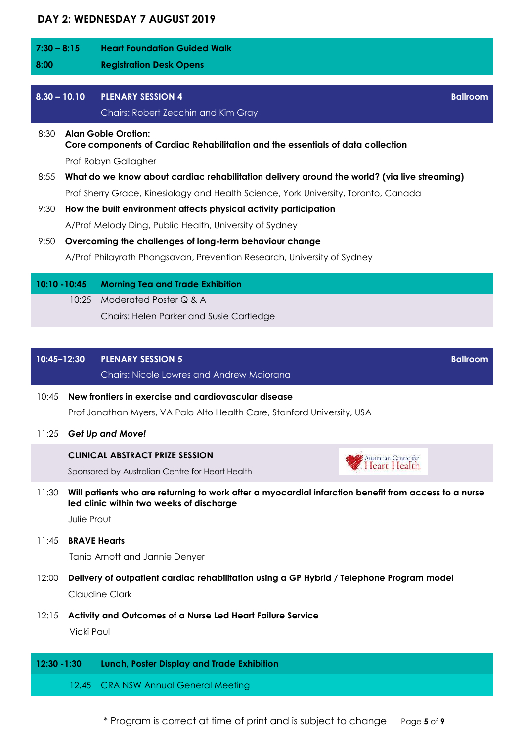## **DAY 2: WEDNESDAY 7 AUGUST 2019**

| $7:30 - 8:15$ |                                                                                                               | <b>Heart Foundation Guided Walk</b>                                                 |                 |
|---------------|---------------------------------------------------------------------------------------------------------------|-------------------------------------------------------------------------------------|-----------------|
| 8:00          |                                                                                                               | <b>Registration Desk Opens</b>                                                      |                 |
|               |                                                                                                               |                                                                                     |                 |
|               | $8.30 - 10.10$                                                                                                | <b>PLENARY SESSION 4</b>                                                            | <b>Ballroom</b> |
|               |                                                                                                               | Chairs: Robert Zecchin and Kim Gray                                                 |                 |
| 8:30          | <b>Alan Goble Oration:</b><br>Core components of Cardiac Rehabilitation and the essentials of data collection |                                                                                     |                 |
|               |                                                                                                               | Prof Robyn Gallagher                                                                |                 |
| 8:55          | What do we know about cardiac rehabilitation delivery around the world? (via live streaming)                  |                                                                                     |                 |
|               |                                                                                                               | Prof Sherry Grace, Kinesiology and Health Science, York University, Toronto, Canada |                 |
| 9:30          |                                                                                                               | How the built environment affects physical activity participation                   |                 |
|               |                                                                                                               | A/Prof Melody Ding, Public Health, University of Sydney                             |                 |
|               |                                                                                                               |                                                                                     |                 |

9:50 **Overcoming the challenges of long-term behaviour change**  A/Prof Philayrath Phongsavan, Prevention Research, University of Sydney

|  | 10:10 - 10:45 Morning Tea and Trade Exhibition |
|--|------------------------------------------------|
|  | 10:25 Moderated Poster Q & A                   |
|  | Chairs: Helen Parker and Susie Cartledge       |
|  |                                                |

| $10:45-12:30$ PLENARY SESSION 5                    | <b>Ballroom</b> |
|----------------------------------------------------|-----------------|
| <b>Chairs: Nicole Lowres and Andrew Maiorana \</b> |                 |

- 10:45 **New frontiers in exercise and cardiovascular disease**  Prof Jonathan Myers, VA Palo Alto Health Care, Stanford University, USA
- 11:25 *Get Up and Move!*

#### **CLINICAL ABSTRACT PRIZE SESSION**

Sponsored by Australian Centre for Heart Health

11:30 **Will patients who are returning to work after a myocardial infarction benefit from access to a nurse led clinic within two weeks of discharge** 

Australian Centre *for*<br>. **Heart Health** 

Julie Prout

11:45 **BRAVE Hearts** 

Tania Arnott and Jannie Denyer

- 12:00 **Delivery of outpatient cardiac rehabilitation using a GP Hybrid / Telephone Program model**  Claudine Clark
- 12:15 **Activity and Outcomes of a Nurse Led Heart Failure Service**

Vicki Paul

### **12:30 -1:30 Lunch, Poster Display and Trade Exhibition**

12.45 CRA NSW Annual General Meeting

\* Program is correct at time of print and is subject to change Page **5** of **9**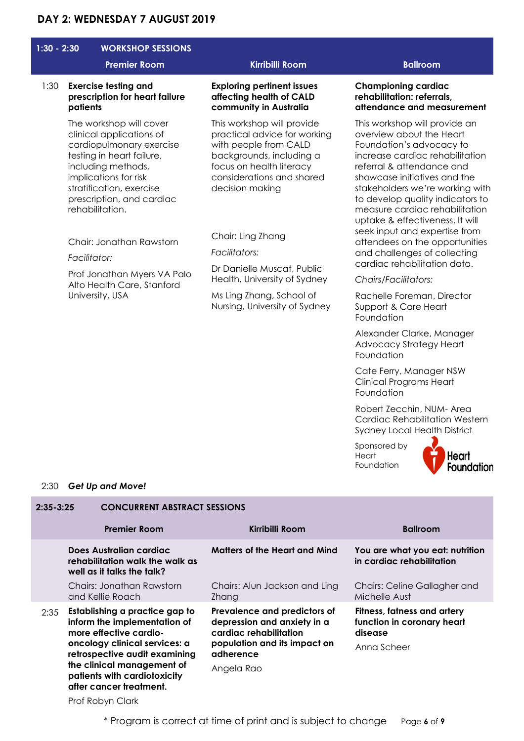## **DAY 2: WEDNESDAY 7 AUGUST 2019**

| $1:30 - 2:30$ | <b>WORKSHOP SESSIONS</b><br><b>Premier Room</b>                                                                                                                                                                                         | <b>Kirribilli Room</b>                                                                                                                                                                      | <b>Ballroom</b>                                                                                                                                                                                                                                                                                                                   |
|---------------|-----------------------------------------------------------------------------------------------------------------------------------------------------------------------------------------------------------------------------------------|---------------------------------------------------------------------------------------------------------------------------------------------------------------------------------------------|-----------------------------------------------------------------------------------------------------------------------------------------------------------------------------------------------------------------------------------------------------------------------------------------------------------------------------------|
| 1:30          | <b>Exercise testing and</b><br>prescription for heart failure<br>patients                                                                                                                                                               | <b>Exploring pertinent issues</b><br>affecting health of CALD<br>community in Australia                                                                                                     | <b>Championing cardiac</b><br>rehabilitation: referrals,<br>attendance and measurement                                                                                                                                                                                                                                            |
|               | The workshop will cover<br>clinical applications of<br>cardiopulmonary exercise<br>testing in heart failure,<br>including methods,<br>implications for risk<br>stratification, exercise<br>prescription, and cardiac<br>rehabilitation. | This workshop will provide<br>practical advice for working<br>with people from CALD<br>backgrounds, including a<br>focus on health literacy<br>considerations and shared<br>decision making | This workshop will provide an<br>overview about the Heart<br>Foundation's advocacy to<br>increase cardiac rehabilitation<br>referral & attendance and<br>showcase initiatives and the<br>stakeholders we're working with<br>to develop quality indicators to<br>measure cardiac rehabilitation<br>uptake & effectiveness. It will |
|               | Chair: Jonathan Rawstorn<br>Facilitator:<br>Prof Jonathan Myers VA Palo<br>Alto Health Care, Stanford<br>University, USA                                                                                                                | Chair: Ling Zhang<br>Facilitators:<br>Dr Danielle Muscat, Public<br>Health, University of Sydney<br>Ms Ling Zhang, School of<br>Nursing, University of Sydney                               | seek input and expertise from<br>attendees on the opportunities<br>and challenges of collecting<br>cardiac rehabilitation data.<br><b>Chairs/Facilitators:</b><br>Rachelle Foreman, Director<br>Support & Care Heart<br>Foundation                                                                                                |
|               |                                                                                                                                                                                                                                         |                                                                                                                                                                                             | Alexander Clarke, Manager                                                                                                                                                                                                                                                                                                         |

Foundation Cate Ferry, Manager NSW Clinical Programs Heart

Advocacy Strategy Heart

Robert Zecchin, NUM- Area Cardiac Rehabilitation Western Sydney Local Health District

Sponsored by **Heart** Foundation

Foundation



#### 2:30 *Get Up and Move!*

#### **2:35-3:25 CONCURRENT ABSTRACT SESSIONS Premier Room Kirribilli Room Ballroom Does Australian cardiac rehabilitation walk the walk as well as it talks the talk? Matters of the Heart and Mind You are what you eat: nutrition in cardiac rehabilitation**  Chairs: Jonathan Rawstorn and Kellie Roach Chairs: Alun Jackson and Ling Zhang Chairs: Celine Gallagher and Michelle Aust 2:35 **Establishing a practice gap to inform the implementation of more effective cardiooncology clinical services: a retrospective audit examining the clinical management of patients with cardiotoxicity after cancer treatment. Prevalence and predictors of depression and anxiety in a cardiac rehabilitation population and its impact on adherence**  Angela Rao **Fitness, fatness and artery function in coronary heart disease**  Anna Scheer

Prof Robyn Clark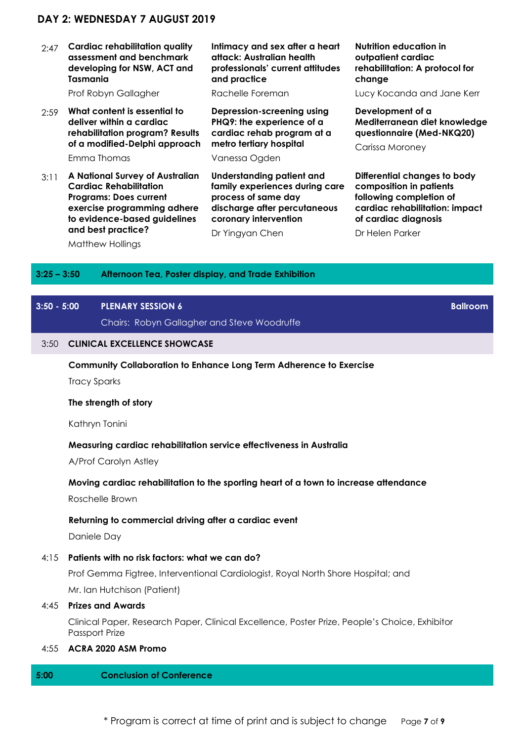## **DAY 2: WEDNESDAY 7 AUGUST 2019**

2:47 **Cardiac rehabilitation quality assessment and benchmark developing for NSW, ACT and Tasmania** 

Prof Robyn Gallagher

- 2:59 **What content is essential to deliver within a cardiac rehabilitation program? Results of a modified-Delphi approach**  Emma Thomas
- 3:11 **A National Survey of Australian Cardiac Rehabilitation Programs: Does current exercise programming adhere to evidence-based guidelines and best practice?**

Matthew Hollings

**Intimacy and sex after a heart attack: Australian health professionals' current attitudes and practice** 

Rachelle Foreman

**Depression-screening using PHQ9: the experience of a cardiac rehab program at a metro tertiary hospital** 

#### Vanessa Ogden

**Understanding patient and family experiences during care process of same day discharge after percutaneous coronary intervention** 

Dr Yingyan Chen

#### **Nutrition education in outpatient cardiac rehabilitation: A protocol for change**

Lucy Kocanda and Jane Kerr

**Development of a Mediterranean diet knowledge questionnaire (Med-NKQ20)** 

Carissa Moroney

**Differential changes to body composition in patients following completion of cardiac rehabilitation: impact of cardiac diagnosis** 

**Ballroom** 

Dr Helen Parker

#### **3:25 – 3:50 Afternoon Tea, Poster display, and Trade Exhibition**

### **3:50 - 5:00 PLENARY SESSION 6**

Chairs: Robyn Gallagher and Steve Woodruffe

## 3:50 **CLINICAL EXCELLENCE SHOWCASE**

#### **Community Collaboration to Enhance Long Term Adherence to Exercise**

Tracy Sparks

#### **The strength of story**

Kathryn Tonini

#### **Measuring cardiac rehabilitation service effectiveness in Australia**

A/Prof Carolyn Astley

#### **Moving cardiac rehabilitation to the sporting heart of a town to increase attendance**

Roschelle Brown

#### **Returning to commercial driving after a cardiac event**

Daniele Day

4:15 **Patients with no risk factors: what we can do?** 

Prof Gemma Figtree, Interventional Cardiologist, Royal North Shore Hospital; and Mr. Ian Hutchison (Patient)

#### 4:45 **Prizes and Awards**

Clinical Paper, Research Paper, Clinical Excellence, Poster Prize, People's Choice, Exhibitor Passport Prize

4:55 **ACRA 2020 ASM Promo** 

#### **5:00 Conclusion of Conference**

\* Program is correct at time of print and is subject to change Page **7** of **9**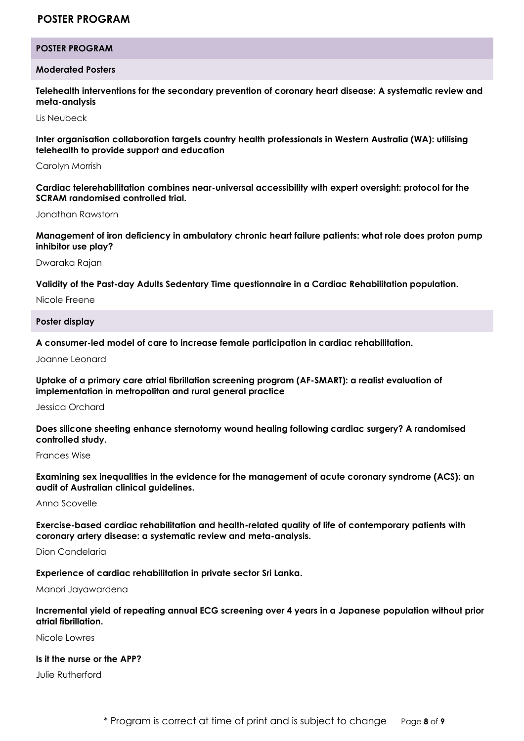## **POSTER PROGRAM**

#### **POSTER PROGRAM**

#### **Moderated Posters**

**Telehealth interventions for the secondary prevention of coronary heart disease: A systematic review and meta-analysis** 

Lis Neubeck

**Inter organisation collaboration targets country health professionals in Western Australia (WA): utilising telehealth to provide support and education** 

Carolyn Morrish

**Cardiac telerehabilitation combines near-universal accessibility with expert oversight: protocol for the SCRAM randomised controlled trial.**

Jonathan Rawstorn

**Management of iron deficiency in ambulatory chronic heart failure patients: what role does proton pump inhibitor use play?** 

Dwaraka Rajan

**Validity of the Past-day Adults Sedentary Time questionnaire in a Cardiac Rehabilitation population.** 

Nicole Freene

**Poster display** 

**A consumer-led model of care to increase female participation in cardiac rehabilitation.** 

Joanne Leonard

**Uptake of a primary care atrial fibrillation screening program (AF-SMART): a realist evaluation of implementation in metropolitan and rural general practice** 

Jessica Orchard

**Does silicone sheeting enhance sternotomy wound healing following cardiac surgery? A randomised controlled study.** 

Frances Wise

**Examining sex inequalities in the evidence for the management of acute coronary syndrome (ACS): an audit of Australian clinical guidelines.** 

Anna Scovelle

**Exercise-based cardiac rehabilitation and health-related quality of life of contemporary patients with coronary artery disease: a systematic review and meta-analysis.** 

Dion Candelaria

**Experience of cardiac rehabilitation in private sector Sri Lanka.** 

Manori Jayawardena

**Incremental yield of repeating annual ECG screening over 4 years in a Japanese population without prior atrial fibrillation.** 

Nicole Lowres

### **Is it the nurse or the APP?**

Julie Rutherford